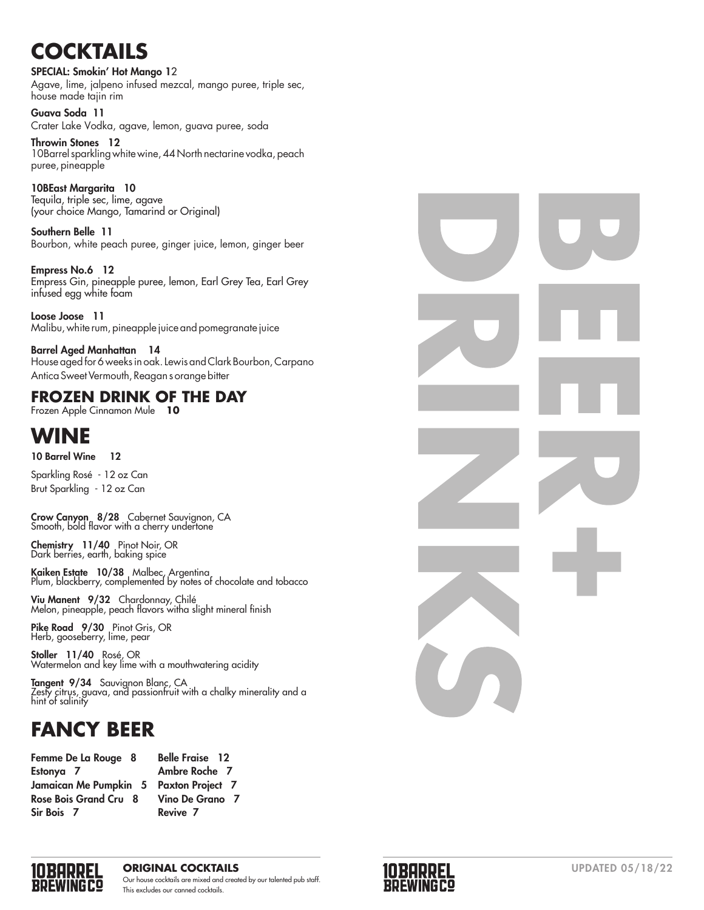# **COCKTAILS**

#### SPECIAL: Smokin' Hot Mango 1 2

Agave, lime, jalpeno infused mezcal, mango puree, triple sec, house made tajin rim

Guava Soda 11 Crater Lake Vodka, agave, lemon, guava puree, soda

Throwin Stones 12 10Barrel sparkling white wine, 44 North nectarine vodka, peach puree, pineapple

10BEast Margarita 10 Tequila, triple sec, lime, agave (your choice Mango, Tamarind or Original)

Southern Belle 11 Bourbon, white peach puree, ginger juice, lemon, ginger beer

Empress No.6 12 Empress Gin, pineapple puree, lemon, Earl Grey Tea, Earl Grey infused egg white foam

Loose Joose 11 Malibu, white rum, pineapple juice and pomegranate juice

Barrel Aged Manhattan 14 House aged for 6 weeks in oak. Lewis and Clark Bourbon, Carpano Antica Sweet Vermouth, Reagan s orange bitter

## **FROZEN DRINK OF THE DAY**

Frozen Apple Cinnamon Mule **10** 

## **WINE**

10 Barrel Wine 12

 $\overline{a}$ Sparkling Rosé - 12 oz Can Brut Sparkling - 12 oz Can

Crow Canyon 8/28 Cabernet Sauvignon, CA Smooth, bold flavor with a cherry undertone

Chemistry 11/40 Pinot Noir, OR Dark berries, earth, baking spice

Kaiken Estate 10/38 Malbec, Argentina<br>Plum, blackberry, complemented by notes of chocolate and tobacco

Viu Manent 9/32 Chardonnay, Chilé Melon, pineapple, peach flavors witha slight mineral finish

Pike Road 9/30 Pinot Gris, OR<br>Herb, gooseberry, lime, pear

Stoller 11/40 Rosé, OR<br>Watermelon and key lime with a mouthwatering acidity

**Tangent 9/34** Sauvignon Blanc, CA<br>Zesty citrus, guava, and passionfruit with a chalky minerality and a hint of salinity

## **FANCY BEER**

| Femme De La Rouge 8   | <b>Belle Fraise</b> |
|-----------------------|---------------------|
| Estonya 7             | <b>Ambre Rocl</b>   |
| Jamaican Me Pumpkin 5 | <b>Paxton Proj</b>  |
| Rose Bois Grand Cru 8 | Vino De Gre         |
| Sir Bois 7            | Revive 7            |
|                       |                     |

he 7 iect 7 ano 7





#### **ORIGINAL COCKTAILS** UPDATED 05/18/22 Our house cocktails are mixed and created by our talented pub staff. This excludes our canned cocktails.

 $12$